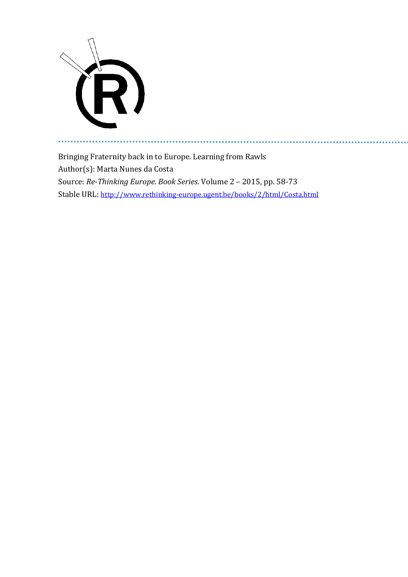

a a

Bringing Fraternity back in to Europe. Learning from Rawls Author(s): Marta Nunes da Costa Source: *Re-Thinking Europe. Book Series*. Volume 2 – 2015, pp. 58-73 Stable URL: <http://www.rethinking-europe.ugent.be/books/2/html/Costa.html>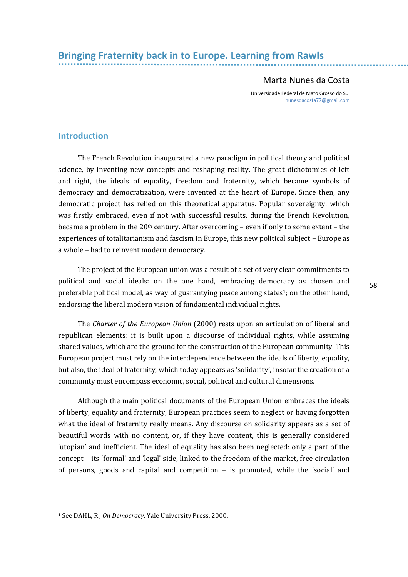# Marta Nunes da Costa

Universidade Federal de Mato Grosso do Sul [nunesdacosta77@gmail.com](mailto:nunesdacosta77@gmail.com)

# **Introduction**

The French Revolution inaugurated a new paradigm in political theory and political science, by inventing new concepts and reshaping reality. The great dichotomies of left and right, the ideals of equality, freedom and fraternity, which became symbols of democracy and democratization, were invented at the heart of Europe. Since then, any democratic project has relied on this theoretical apparatus. Popular sovereignty, which was firstly embraced, even if not with successful results, during the French Revolution, became a problem in the 20th century. After overcoming – even if only to some extent – the experiences of totalitarianism and fascism in Europe, this new political subject – Europe as a whole – had to reinvent modern democracy.

The project of the European union was a result of a set of very clear commitments to political and social ideals: on the one hand, embracing democracy as chosen and preferable political model, as way of guarantying peace among states<sup>1</sup>; on the other hand, endorsing the liberal modern vision of fundamental individual rights.

The *Charter of the European Union* (2000) rests upon an articulation of liberal and republican elements: it is built upon a discourse of individual rights, while assuming shared values, which are the ground for the construction of the European community. This European project must rely on the interdependence between the ideals of liberty, equality, but also, the ideal of fraternity, which today appears as 'solidarity', insofar the creation of a community must encompass economic, social, political and cultural dimensions.

Although the main political documents of the European Union embraces the ideals of liberty, equality and fraternity, European practices seem to neglect or having forgotten what the ideal of fraternity really means. Any discourse on solidarity appears as a set of beautiful words with no content, or, if they have content, this is generally considered 'utopian' and inefficient. The ideal of equality has also been neglected: only a part of the concept – its 'formal' and 'legal' side, linked to the freedom of the market, free circulation of persons, goods and capital and competition – is promoted, while the 'social' and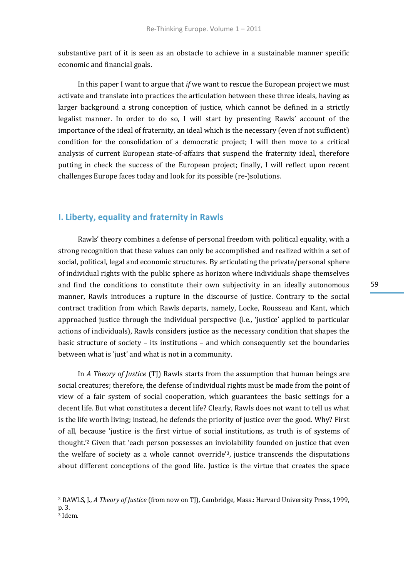substantive part of it is seen as an obstacle to achieve in a sustainable manner specific economic and financial goals.

In this paper I want to argue that *if* we want to rescue the European project we must activate and translate into practices the articulation between these three ideals, having as larger background a strong conception of justice, which cannot be defined in a strictly legalist manner. In order to do so, I will start by presenting Rawls' account of the importance of the ideal of fraternity, an ideal which is the necessary (even if not sufficient) condition for the consolidation of a democratic project; I will then move to a critical analysis of current European state-of-affairs that suspend the fraternity ideal, therefore putting in check the success of the European project; finally, I will reflect upon recent challenges Europe faces today and look for its possible (re-)solutions.

## **I. Liberty, equality and fraternity in Rawls**

Rawls' theory combines a defense of personal freedom with political equality, with a strong recognition that these values can only be accomplished and realized within a set of social, political, legal and economic structures. By articulating the private/personal sphere of individual rights with the public sphere as horizon where individuals shape themselves and find the conditions to constitute their own subjectivity in an ideally autonomous manner, Rawls introduces a rupture in the discourse of justice. Contrary to the social contract tradition from which Rawls departs, namely, Locke, Rousseau and Kant, which approached justice through the individual perspective (i.e., 'justice' applied to particular actions of individuals), Rawls considers justice as the necessary condition that shapes the basic structure of society – its institutions – and which consequently set the boundaries between what is 'just' and what is not in a community.

In *A Theory of Justice* (TJ) Rawls starts from the assumption that human beings are social creatures; therefore, the defense of individual rights must be made from the point of view of a fair system of social cooperation, which guarantees the basic settings for a decent life. But what constitutes a decent life? Clearly, Rawls does not want to tell us what is the life worth living; instead, he defends the priority of justice over the good. Why? First of all, because 'justice is the first virtue of social institutions, as truth is of systems of thought.'<sup>2</sup> Given that 'each person possesses an inviolability founded on justice that even the welfare of society as a whole cannot override'3, justice transcends the disputations about different conceptions of the good life. Justice is the virtue that creates the space

<sup>2</sup> RAWLS, J., *A Theory of Justice* (from now on TJ), Cambridge, Mass.: Harvard University Press, 1999, p. 3. <sup>3</sup> Idem.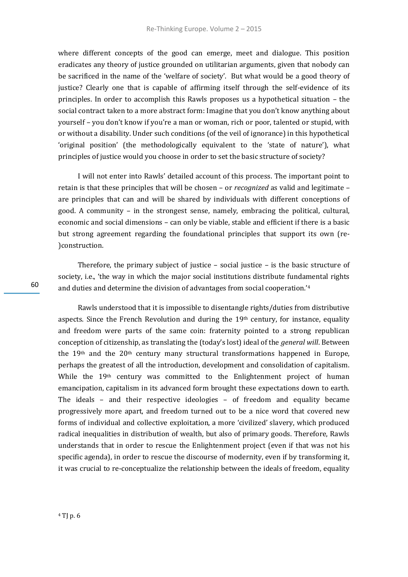where different concepts of the good can emerge, meet and dialogue. This position eradicates any theory of justice grounded on utilitarian arguments, given that nobody can be sacrificed in the name of the 'welfare of society'. But what would be a good theory of justice? Clearly one that is capable of affirming itself through the self-evidence of its principles. In order to accomplish this Rawls proposes us a hypothetical situation – the social contract taken to a more abstract form: Imagine that you don't know anything about yourself – you don't know if you're a man or woman, rich or poor, talented or stupid, with or without a disability. Under such conditions (of the veil of ignorance) in this hypothetical 'original position' (the methodologically equivalent to the 'state of nature'), what principles of justice would you choose in order to set the basic structure of society?

I will not enter into Rawls' detailed account of this process. The important point to retain is that these principles that will be chosen – or *recognized* as valid and legitimate – are principles that can and will be shared by individuals with different conceptions of good. A community – in the strongest sense, namely, embracing the political, cultural, economic and social dimensions – can only be viable, stable and efficient if there is a basic but strong agreement regarding the foundational principles that support its own (re- )construction.

Therefore, the primary subject of justice – social justice – is the basic structure of society, i.e., 'the way in which the major social institutions distribute fundamental rights and duties and determine the division of advantages from social cooperation.'<sup>4</sup>

Rawls understood that it is impossible to disentangle rights/duties from distributive aspects. Since the French Revolution and during the  $19<sup>th</sup>$  century, for instance, equality and freedom were parts of the same coin: fraternity pointed to a strong republican conception of citizenship, as translating the (today's lost) ideal of the *general will*. Between the 19<sup>th</sup> and the 20<sup>th</sup> century many structural transformations happened in Europe, perhaps the greatest of all the introduction, development and consolidation of capitalism. While the 19<sup>th</sup> century was committed to the Enlightenment project of human emancipation, capitalism in its advanced form brought these expectations down to earth. The ideals – and their respective ideologies – of freedom and equality became progressively more apart, and freedom turned out to be a nice word that covered new forms of individual and collective exploitation, a more 'civilized' slavery, which produced radical inequalities in distribution of wealth, but also of primary goods. Therefore, Rawls understands that in order to rescue the Enlightenment project (even if that was not his specific agenda), in order to rescue the discourse of modernity, even if by transforming it, it was crucial to re-conceptualize the relationship between the ideals of freedom, equality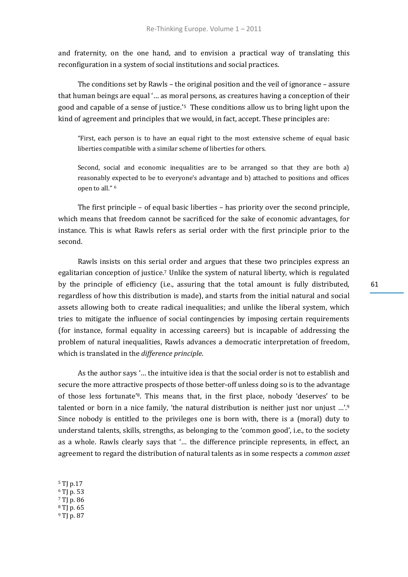and fraternity, on the one hand, and to envision a practical way of translating this reconfiguration in a system of social institutions and social practices.

The conditions set by Rawls – the original position and the veil of ignorance – assure that human beings are equal '… as moral persons, as creatures having a conception of their good and capable of a sense of justice.'5 These conditions allow us to bring light upon the kind of agreement and principles that we would, in fact, accept. These principles are:

"First, each person is to have an equal right to the most extensive scheme of equal basic liberties compatible with a similar scheme of liberties for others.

Second, social and economic inequalities are to be arranged so that they are both a) reasonably expected to be to everyone's advantage and b) attached to positions and offices open to all." <sup>6</sup>

The first principle – of equal basic liberties – has priority over the second principle, which means that freedom cannot be sacrificed for the sake of economic advantages, for instance. This is what Rawls refers as serial order with the first principle prior to the second.

Rawls insists on this serial order and argues that these two principles express an egalitarian conception of justice.<sup>7</sup> Unlike the system of natural liberty, which is regulated by the principle of efficiency (i.e., assuring that the total amount is fully distributed, regardless of how this distribution is made), and starts from the initial natural and social assets allowing both to create radical inequalities; and unlike the liberal system, which tries to mitigate the influence of social contingencies by imposing certain requirements (for instance, formal equality in accessing careers) but is incapable of addressing the problem of natural inequalities, Rawls advances a democratic interpretation of freedom, which is translated in the *difference principle*.

As the author says '… the intuitive idea is that the social order is not to establish and secure the more attractive prospects of those better-off unless doing so is to the advantage of those less fortunate'8. This means that, in the first place, nobody 'deserves' to be talented or born in a nice family, 'the natural distribution is neither just nor unjust …'.<sup>9</sup> Since nobody is entitled to the privileges one is born with, there is a (moral) duty to understand talents, skills, strengths, as belonging to the 'common good', i.e., to the society as a whole. Rawls clearly says that '… the difference principle represents, in effect, an agreement to regard the distribution of natural talents as in some respects a *common asset*

<sup>5</sup> TJ p.17  $6$  TJ p. 53 <sup>7</sup> TJ p. 86 <sup>8</sup> TJ p. 65 <sup>9</sup> TJ p. 87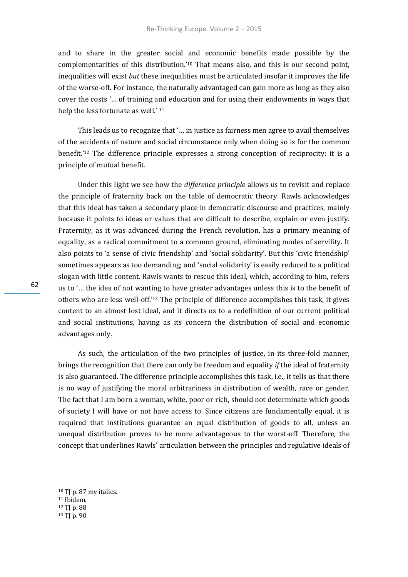and to share in the greater social and economic benefits made possible by the complementarities of this distribution.'<sup>10</sup> That means also, and this is our second point, inequalities will exist *but* these inequalities must be articulated insofar it improves the life of the worse-off. For instance, the naturally advantaged can gain more as long as they also cover the costs '… of training and education and for using their endowments in ways that help the less fortunate as well.' <sup>11</sup>

This leads us to recognize that '… in justice as fairness men agree to avail themselves of the accidents of nature and social circumstance only when doing so is for the common benefit.'<sup>12</sup> The difference principle expresses a strong conception of reciprocity: it is a principle of mutual benefit.

Under this light we see how the *difference principle* allows us to revisit and replace the principle of fraternity back on the table of democratic theory. Rawls acknowledges that this ideal has taken a secondary place in democratic discourse and practices, mainly because it points to ideas or values that are difficult to describe, explain or even justify. Fraternity, as it was advanced during the French revolution, has a primary meaning of equality, as a radical commitment to a common ground, eliminating modes of servility. It also points to 'a sense of civic friendship' and 'social solidarity'. But this 'civic friendship' sometimes appears as too demanding; and 'social solidarity' is easily reduced to a political slogan with little content. Rawls wants to rescue this ideal, which, according to him, refers us to '… the idea of not wanting to have greater advantages unless this is to the benefit of others who are less well-off.'<sup>13</sup> The principle of difference accomplishes this task, it gives content to an almost lost ideal, and it directs us to a redefinition of our current political and social institutions, having as its concern the distribution of social and economic advantages only.

As such, the articulation of the two principles of justice, in its three-fold manner, brings the recognition that there can only be freedom and equality *if* the ideal of fraternity is also guaranteed. The difference principle accomplishes this task, i.e., it tells us that there is no way of justifying the moral arbitrariness in distribution of wealth, race or gender. The fact that I am born a woman, white, poor or rich, should not determinate which goods of society I will have or not have access to. Since citizens are fundamentally equal, it is required that institutions guarantee an equal distribution of goods to all, unless an unequal distribution proves to be more advantageous to the worst-off. Therefore, the concept that underlines Rawls' articulation between the principles and regulative ideals of

<sup>10</sup> TJ p. 87 my italics. <sup>11</sup> Ibidem. <sup>12</sup> TJ p. 88 <sup>13</sup> TJ p. 90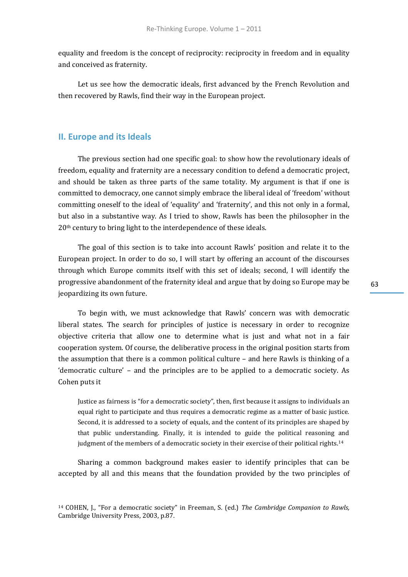equality and freedom is the concept of reciprocity: reciprocity in freedom and in equality and conceived as fraternity.

Let us see how the democratic ideals, first advanced by the French Revolution and then recovered by Rawls, find their way in the European project.

### **II. Europe and its Ideals**

The previous section had one specific goal: to show how the revolutionary ideals of freedom, equality and fraternity are a necessary condition to defend a democratic project, and should be taken as three parts of the same totality. My argument is that if one is committed to democracy, one cannot simply embrace the liberal ideal of 'freedom' without committing oneself to the ideal of 'equality' and 'fraternity', and this not only in a formal, but also in a substantive way. As I tried to show, Rawls has been the philosopher in the 20<sup>th</sup> century to bring light to the interdependence of these ideals.

The goal of this section is to take into account Rawls' position and relate it to the European project. In order to do so, I will start by offering an account of the discourses through which Europe commits itself with this set of ideals; second, I will identify the progressive abandonment of the fraternity ideal and argue that by doing so Europe may be jeopardizing its own future.

To begin with, we must acknowledge that Rawls' concern was with democratic liberal states. The search for principles of justice is necessary in order to recognize objective criteria that allow one to determine what is just and what not in a fair cooperation system. Of course, the deliberative process in the original position starts from the assumption that there is a common political culture – and here Rawls is thinking of a 'democratic culture' – and the principles are to be applied to a democratic society. As Cohen puts it

Justice as fairness is "for a democratic society", then, first because it assigns to individuals an equal right to participate and thus requires a democratic regime as a matter of basic justice. Second, it is addressed to a society of equals, and the content of its principles are shaped by that public understanding. Finally, it is intended to guide the political reasoning and judgment of the members of a democratic society in their exercise of their political rights.<sup>14</sup>

Sharing a common background makes easier to identify principles that can be accepted by all and this means that the foundation provided by the two principles of

<sup>14</sup> COHEN, J., "For a democratic society" in Freeman, S. (ed.) *The Cambridge Companion to Rawls,*  Cambridge University Press, 2003, p.87.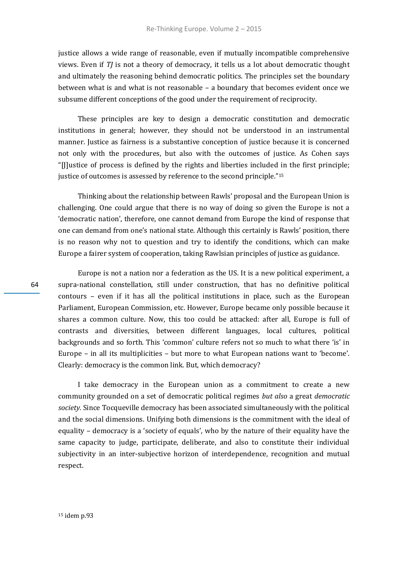justice allows a wide range of reasonable, even if mutually incompatible comprehensive views. Even if *TJ* is not a theory of democracy, it tells us a lot about democratic thought and ultimately the reasoning behind democratic politics. The principles set the boundary between what is and what is not reasonable – a boundary that becomes evident once we subsume different conceptions of the good under the requirement of reciprocity.

These principles are key to design a democratic constitution and democratic institutions in general; however, they should not be understood in an instrumental manner. Justice as fairness is a substantive conception of justice because it is concerned not only with the procedures, but also with the outcomes of justice. As Cohen says "[J]ustice of process is defined by the rights and liberties included in the first principle; justice of outcomes is assessed by reference to the second principle."<sup>15</sup>

Thinking about the relationship between Rawls' proposal and the European Union is challenging. One could argue that there is no way of doing so given the Europe is not a 'democratic nation', therefore, one cannot demand from Europe the kind of response that one can demand from one's national state. Although this certainly is Rawls' position, there is no reason why not to question and try to identify the conditions, which can make Europe a fairer system of cooperation, taking Rawlsian principles of justice as guidance.

Europe is not a nation nor a federation as the US. It is a new political experiment, a supra-national constellation, still under construction, that has no definitive political contours – even if it has all the political institutions in place, such as the European Parliament, European Commission, etc. However, Europe became only possible because it shares a common culture. Now, this too could be attacked: after all, Europe is full of contrasts and diversities, between different languages, local cultures, political backgrounds and so forth. This 'common' culture refers not so much to what there 'is' in Europe – in all its multiplicities – but more to what European nations want to 'become'. Clearly: democracy is the common link. But, which democracy?

I take democracy in the European union as a commitment to create a new community grounded on a set of democratic political regimes *but also* a great *democratic society.* Since Tocqueville democracy has been associated simultaneously with the political and the social dimensions. Unifying both dimensions is the commitment with the ideal of equality – democracy is a 'society of equals', who by the nature of their equality have the same capacity to judge, participate, deliberate, and also to constitute their individual subjectivity in an inter-subjective horizon of interdependence, recognition and mutual respect.

64

<sup>15</sup> idem p.93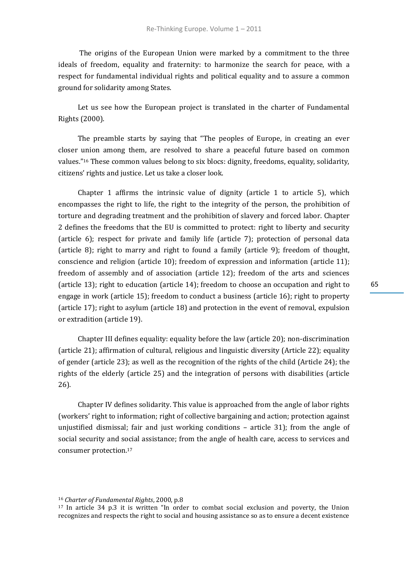The origins of the European Union were marked by a commitment to the three ideals of freedom, equality and fraternity: to harmonize the search for peace, with a respect for fundamental individual rights and political equality and to assure a common ground for solidarity among States.

Let us see how the European project is translated in the charter of Fundamental Rights (2000).

The preamble starts by saying that "The peoples of Europe, in creating an ever closer union among them, are resolved to share a peaceful future based on common values."<sup>16</sup> These common values belong to six blocs: dignity, freedoms, equality, solidarity, citizens' rights and justice. Let us take a closer look.

Chapter 1 affirms the intrinsic value of dignity (article 1 to article 5), which encompasses the right to life, the right to the integrity of the person, the prohibition of torture and degrading treatment and the prohibition of slavery and forced labor. Chapter 2 defines the freedoms that the EU is committed to protect: right to liberty and security (article 6); respect for private and family life (article 7); protection of personal data (article 8); right to marry and right to found a family (article 9); freedom of thought, conscience and religion (article 10); freedom of expression and information (article 11); freedom of assembly and of association (article 12); freedom of the arts and sciences (article 13); right to education (article 14); freedom to choose an occupation and right to engage in work (article 15); freedom to conduct a business (article 16); right to property (article 17); right to asylum (article 18) and protection in the event of removal, expulsion or extradition (article 19).

Chapter III defines equality: equality before the law (article 20); non-discrimination (article 21); affirmation of cultural, religious and linguistic diversity (Article 22); equality of gender (article 23); as well as the recognition of the rights of the child (Article 24); the rights of the elderly (article 25) and the integration of persons with disabilities (article 26).

Chapter IV defines solidarity. This value is approached from the angle of labor rights (workers' right to information; right of collective bargaining and action; protection against unjustified dismissal; fair and just working conditions – article 31); from the angle of social security and social assistance; from the angle of health care, access to services and consumer protection.<sup>17</sup>

<sup>16</sup> *Charter of Fundamental Rights*, 2000, p.8

<sup>17</sup> In article 34 p.3 it is written "In order to combat social exclusion and poverty, the Union recognizes and respects the right to social and housing assistance so as to ensure a decent existence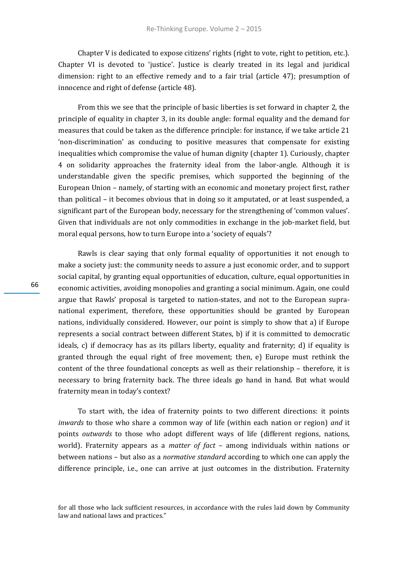Chapter V is dedicated to expose citizens' rights (right to vote, right to petition, etc.). Chapter VI is devoted to 'justice'. Justice is clearly treated in its legal and juridical dimension: right to an effective remedy and to a fair trial (article 47); presumption of innocence and right of defense (article 48).

From this we see that the principle of basic liberties is set forward in chapter 2, the principle of equality in chapter 3, in its double angle: formal equality and the demand for measures that could be taken as the difference principle: for instance, if we take article 21 'non-discrimination' as conducing to positive measures that compensate for existing inequalities which compromise the value of human dignity (chapter 1). Curiously, chapter 4 on solidarity approaches the fraternity ideal from the labor-angle. Although it is understandable given the specific premises, which supported the beginning of the European Union – namely, of starting with an economic and monetary project first, rather than political – it becomes obvious that in doing so it amputated, or at least suspended, a significant part of the European body, necessary for the strengthening of 'common values'. Given that individuals are not only commodities in exchange in the job-market field, but moral equal persons, how to turn Europe into a 'society of equals'?

Rawls is clear saying that only formal equality of opportunities it not enough to make a society just: the community needs to assure a just economic order, and to support social capital, by granting equal opportunities of education, culture, equal opportunities in economic activities, avoiding monopolies and granting a social minimum. Again, one could argue that Rawls' proposal is targeted to nation-states, and not to the European supranational experiment, therefore, these opportunities should be granted by European nations, individually considered. However, our point is simply to show that a) if Europe represents a social contract between different States, b) if it is committed to democratic ideals, c) if democracy has as its pillars liberty, equality and fraternity; d) if equality is granted through the equal right of free movement; then, e) Europe must rethink the content of the three foundational concepts as well as their relationship – therefore, it is necessary to bring fraternity back. The three ideals go hand in hand. But what would fraternity mean in today's context?

To start with, the idea of fraternity points to two different directions: it points *inwards* to those who share a common way of life (within each nation or region) *and* it points *outwards* to those who adopt different ways of life (different regions, nations, world). Fraternity appears as a *matter of fact* – among individuals within nations or between nations – but also as a *normative standard* according to which one can apply the difference principle, i.e., one can arrive at just outcomes in the distribution. Fraternity

for all those who lack sufficient resources, in accordance with the rules laid down by Community law and national laws and practices."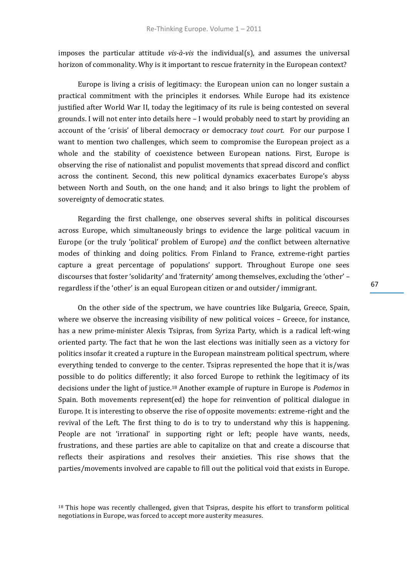imposes the particular attitude *vis-à-vis* the individual(s), and assumes the universal horizon of commonality. Why is it important to rescue fraternity in the European context?

Europe is living a crisis of legitimacy: the European union can no longer sustain a practical commitment with the principles it endorses. While Europe had its existence justified after World War II, today the legitimacy of its rule is being contested on several grounds. I will not enter into details here – I would probably need to start by providing an account of the 'crisis' of liberal democracy or democracy *tout court.* For our purpose I want to mention two challenges, which seem to compromise the European project as a whole and the stability of coexistence between European nations. First, Europe is observing the rise of nationalist and populist movements that spread discord and conflict across the continent. Second, this new political dynamics exacerbates Europe's abyss between North and South, on the one hand; and it also brings to light the problem of sovereignty of democratic states.

Regarding the first challenge, one observes several shifts in political discourses across Europe, which simultaneously brings to evidence the large political vacuum in Europe (or the truly 'political' problem of Europe) *and* the conflict between alternative modes of thinking and doing politics. From Finland to France, extreme-right parties capture a great percentage of populations' support. Throughout Europe one sees discourses that foster 'solidarity' and 'fraternity' among themselves, excluding the 'other' – regardless if the 'other' is an equal European citizen or and outsider/ immigrant.

On the other side of the spectrum, we have countries like Bulgaria, Greece, Spain, where we observe the increasing visibility of new political voices – Greece, for instance, has a new prime-minister Alexis Tsipras, from Syriza Party, which is a radical left-wing oriented party. The fact that he won the last elections was initially seen as a victory for politics insofar it created a rupture in the European mainstream political spectrum, where everything tended to converge to the center. Tsipras represented the hope that it is/was possible to do politics differently; it also forced Europe to rethink the legitimacy of its decisions under the light of justice.<sup>18</sup> Another example of rupture in Europe is *Podemos* in Spain. Both movements represent(ed) the hope for reinvention of political dialogue in Europe. It is interesting to observe the rise of opposite movements: extreme-right and the revival of the Left. The first thing to do is to try to understand why this is happening. People are not 'irrational' in supporting right or left; people have wants, needs, frustrations, and these parties are able to capitalize on that and create a discourse that reflects their aspirations and resolves their anxieties. This rise shows that the parties/movements involved are capable to fill out the political void that exists in Europe.

<sup>&</sup>lt;sup>18</sup> This hope was recently challenged, given that Tsipras, despite his effort to transform political negotiations in Europe, was forced to accept more austerity measures.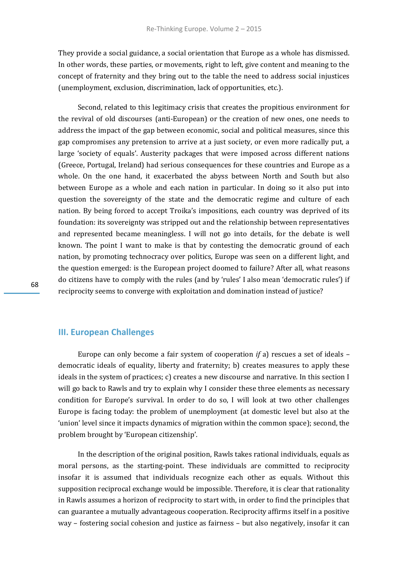They provide a social guidance, a social orientation that Europe as a whole has dismissed. In other words, these parties, or movements, right to left, give content and meaning to the concept of fraternity and they bring out to the table the need to address social injustices (unemployment, exclusion, discrimination, lack of opportunities, etc.).

Second, related to this legitimacy crisis that creates the propitious environment for the revival of old discourses (anti-European) or the creation of new ones, one needs to address the impact of the gap between economic, social and political measures, since this gap compromises any pretension to arrive at a just society, or even more radically put, a large 'society of equals'. Austerity packages that were imposed across different nations (Greece, Portugal, Ireland) had serious consequences for these countries and Europe as a whole. On the one hand, it exacerbated the abyss between North and South but also between Europe as a whole and each nation in particular. In doing so it also put into question the sovereignty of the state and the democratic regime and culture of each nation. By being forced to accept Troika's impositions, each country was deprived of its foundation: its sovereignty was stripped out and the relationship between representatives and represented became meaningless. I will not go into details, for the debate is well known. The point I want to make is that by contesting the democratic ground of each nation, by promoting technocracy over politics, Europe was seen on a different light, and the question emerged: is the European project doomed to failure? After all, what reasons do citizens have to comply with the rules (and by 'rules' I also mean 'democratic rules') if reciprocity seems to converge with exploitation and domination instead of justice?

### **III. European Challenges**

Europe can only become a fair system of cooperation *if* a) rescues a set of ideals – democratic ideals of equality, liberty and fraternity; b) creates measures to apply these ideals in the system of practices; c) creates a new discourse and narrative. In this section I will go back to Rawls and try to explain why I consider these three elements as necessary condition for Europe's survival. In order to do so, I will look at two other challenges Europe is facing today: the problem of unemployment (at domestic level but also at the 'union' level since it impacts dynamics of migration within the common space); second, the problem brought by 'European citizenship'.

In the description of the original position, Rawls takes rational individuals, equals as moral persons, as the starting-point. These individuals are committed to reciprocity insofar it is assumed that individuals recognize each other as equals. Without this supposition reciprocal exchange would be impossible. Therefore, it is clear that rationality in Rawls assumes a horizon of reciprocity to start with, in order to find the principles that can guarantee a mutually advantageous cooperation. Reciprocity affirms itself in a positive way – fostering social cohesion and justice as fairness – but also negatively, insofar it can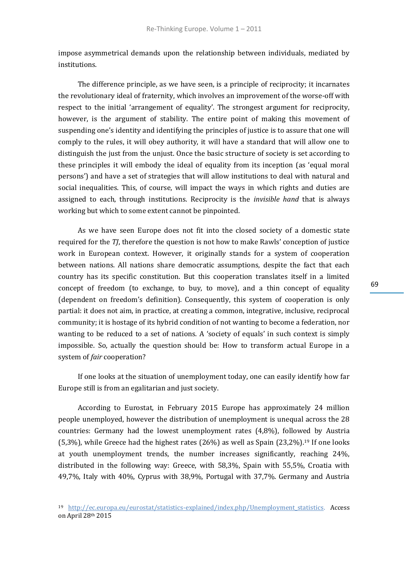impose asymmetrical demands upon the relationship between individuals, mediated by institutions.

The difference principle, as we have seen, is a principle of reciprocity; it incarnates the revolutionary ideal of fraternity, which involves an improvement of the worse-off with respect to the initial 'arrangement of equality'. The strongest argument for reciprocity, however, is the argument of stability. The entire point of making this movement of suspending one's identity and identifying the principles of justice is to assure that one will comply to the rules, it will obey authority, it will have a standard that will allow one to distinguish the just from the unjust. Once the basic structure of society is set according to these principles it will embody the ideal of equality from its inception (as 'equal moral persons') and have a set of strategies that will allow institutions to deal with natural and social inequalities. This, of course, will impact the ways in which rights and duties are assigned to each, through institutions. Reciprocity is the *invisible hand* that is always working but which to some extent cannot be pinpointed.

As we have seen Europe does not fit into the closed society of a domestic state required for the *TJ*, therefore the question is not how to make Rawls' conception of justice work in European context. However, it originally stands for a system of cooperation between nations. All nations share democratic assumptions, despite the fact that each country has its specific constitution. But this cooperation translates itself in a limited concept of freedom (to exchange, to buy, to move), and a thin concept of equality (dependent on freedom's definition). Consequently, this system of cooperation is only partial: it does not aim, in practice, at creating a common, integrative, inclusive, reciprocal community; it is hostage of its hybrid condition of not wanting to become a federation, nor wanting to be reduced to a set of nations. A 'society of equals' in such context is simply impossible. So, actually the question should be: How to transform actual Europe in a system of *fair* cooperation?

If one looks at the situation of unemployment today, one can easily identify how far Europe still is from an egalitarian and just society.

According to Eurostat, in February 2015 Europe has approximately 24 million people unemployed, however the distribution of unemployment is unequal across the 28 countries: Germany had the lowest unemployment rates (4,8%), followed by Austria  $(5,3\%)$ , while Greece had the highest rates  $(26\%)$  as well as Spain  $(23,2\%)$ .<sup>19</sup> If one looks at youth unemployment trends, the number increases significantly, reaching 24%, distributed in the following way: Greece, with 58,3%, Spain with 55,5%, Croatia with 49,7%, Italy with 40%, Cyprus with 38,9%, Portugal with 37,7%. Germany and Austria

<sup>19</sup> [http://ec.europa.eu/eurostat/statistics-explained/index.php/Unemployment\\_statistics.](http://ec.europa.eu/eurostat/statistics-explained/index.php/Unemployment_statistics) Access on April 28th 2015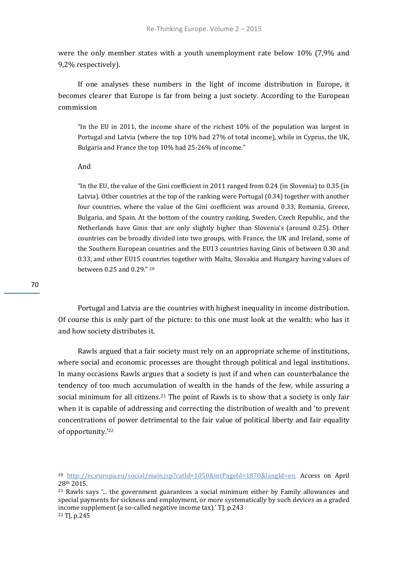were the only member states with a youth unemployment rate below 10% (7,9% and 9,2% respectively).

If one analyses these numbers in the light of income distribution in Europe, it becomes clearer that Europe is far from being a just society. According to the European commission

"In the EU in 2011, the income share of the richest 10% of the population was largest in Portugal and Latvia (where the top 10% had 27% of total income), while in Cyprus, the UK, Bulgaria and France the top 10% had 25-26% of income."

#### And

"In the EU, the value of the Gini coefficient in 2011 ranged from 0.24 (in Slovenia) to 0.35 (in Latvia). Other countries at the top of the ranking were Portugal (0.34) together with another four countries, where the value of the Gini coefficient was around 0.33, Romania, Greece, Bulgaria, and Spain. At the bottom of the country ranking, Sweden, Czech Republic, and the Netherlands have Ginis that are only slightly higher than Slovenia's (around 0.25). Other countries can be broadly divided into two groups, with France, the UK and Ireland, some of the Southern European countries and the EU13 countries having Ginis of between 0.30 and 0.33, and other EU15 countries together with Malta, Slovakia and Hungary having values of between 0.25 and 0.29." <sup>20</sup>

70

Portugal and Latvia are the countries with highest inequality in income distribution. Of course this is only part of the picture: to this one must look at the wealth: who has it and how society distributes it.

Rawls argued that a fair society must rely on an appropriate scheme of institutions, where social and economic processes are thought through political and legal institutions. In many occasions Rawls argues that a society is just if and when can counterbalance the tendency of too much accumulation of wealth in the hands of the few, while assuring a social minimum for all citizens.<sup>21</sup> The point of Rawls is to show that a society is only fair when it is capable of addressing and correcting the distribution of wealth and 'to prevent concentrations of power detrimental to the fair value of political liberty and fair equality of opportunity.'<sup>22</sup>

<sup>20</sup> [http://ec.europa.eu/social/main.jsp?catId=1050&intPageId=1870&langId=en.](http://ec.europa.eu/social/main.jsp?catId=1050&intPageId=1870&langId=en) Access on April 28th 2015.

 $21$  Rawls says  $\ldots$  the government guarantees a social minimum either by Family allowances and special payments for sickness and employment, or more systematically by such devices as a graded income supplement (a so-called negative income tax).' TJ*,* p.243 <sup>22</sup> TJ*,* p.245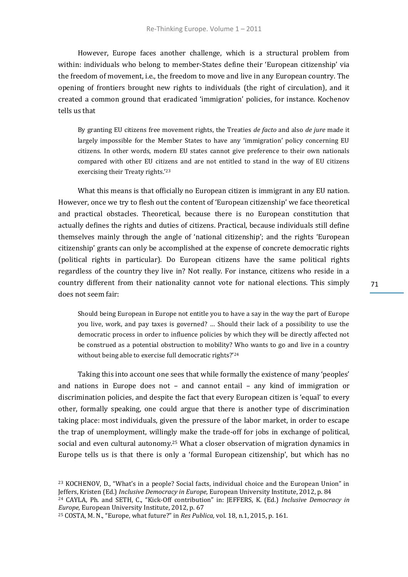However, Europe faces another challenge, which is a structural problem from within: individuals who belong to member-States define their 'European citizenship' via the freedom of movement, i.e., the freedom to move and live in any European country. The opening of frontiers brought new rights to individuals (the right of circulation), and it created a common ground that eradicated 'immigration' policies, for instance. Kochenov tells us that

By granting EU citizens free movement rights, the Treaties *de facto* and also *de jure* made it largely impossible for the Member States to have any 'immigration' policy concerning EU citizens. In other words, modern EU states cannot give preference to their own nationals compared with other EU citizens and are not entitled to stand in the way of EU citizens exercising their Treaty rights.'<sup>23</sup>

What this means is that officially no European citizen is immigrant in any EU nation. However, once we try to flesh out the content of 'European citizenship' we face theoretical and practical obstacles. Theoretical, because there is no European constitution that actually defines the rights and duties of citizens. Practical, because individuals still define themselves mainly through the angle of 'national citizenship'; and the rights 'European citizenship' grants can only be accomplished at the expense of concrete democratic rights (political rights in particular). Do European citizens have the same political rights regardless of the country they live in? Not really. For instance, citizens who reside in a country different from their nationality cannot vote for national elections. This simply does not seem fair:

Should being European in Europe not entitle you to have a say in the way the part of Europe you live, work, and pay taxes is governed? … Should their lack of a possibility to use the democratic process in order to influence policies by which they will be directly affected not be construed as a potential obstruction to mobility? Who wants to go and live in a country without being able to exercise full democratic rights?'<sup>24</sup>

Taking this into account one sees that while formally the existence of many 'peoples' and nations in Europe does not – and cannot entail – any kind of immigration or discrimination policies, and despite the fact that every European citizen is 'equal' to every other, formally speaking, one could argue that there is another type of discrimination taking place: most individuals, given the pressure of the labor market, in order to escape the trap of unemployment, willingly make the trade-off for jobs in exchange of political, social and even cultural autonomy.<sup>25</sup> What a closer observation of migration dynamics in Europe tells us is that there is only a 'formal European citizenship', but which has no

<sup>23</sup> KOCHENOV, D., "What's in a people? Social facts, individual choice and the European Union" in Jeffers, Kristen (Ed.) *Inclusive Democracy in Europe,* European University Institute, 2012, p. 84 <sup>24</sup> CAYLA, Ph. and SETH, C., "Kick-Off contribution" in: JEFFERS, K. (Ed.) *Inclusive Democracy in Europe,* European University Institute, 2012, p. 67

<sup>25</sup> COSTA, M. N., "Europe, what future?" in *Res Publica,* vol. 18, n.1, 2015, p. 161.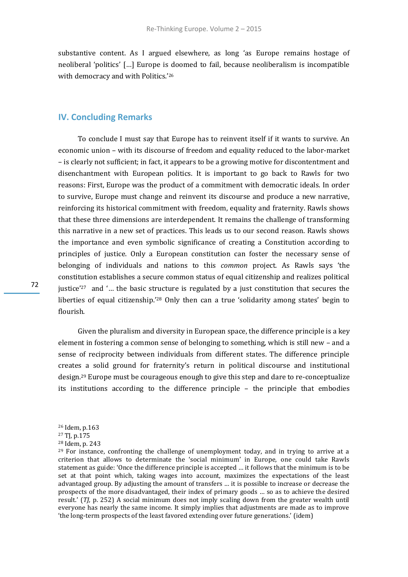substantive content. As I argued elsewhere, as long 'as Europe remains hostage of neoliberal 'politics' […] Europe is doomed to fail, because neoliberalism is incompatible with democracy and with Politics.'<sup>26</sup>

# **IV. Concluding Remarks**

To conclude I must say that Europe has to reinvent itself if it wants to survive. An economic union – with its discourse of freedom and equality reduced to the labor-market – is clearly not sufficient; in fact, it appears to be a growing motive for discontentment and disenchantment with European politics. It is important to go back to Rawls for two reasons: First, Europe was the product of a commitment with democratic ideals. In order to survive, Europe must change and reinvent its discourse and produce a new narrative, reinforcing its historical commitment with freedom, equality and fraternity. Rawls shows that these three dimensions are interdependent. It remains the challenge of transforming this narrative in a new set of practices. This leads us to our second reason. Rawls shows the importance and even symbolic significance of creating a Constitution according to principles of justice. Only a European constitution can foster the necessary sense of belonging of individuals and nations to this *common* project. As Rawls says 'the constitution establishes a secure common status of equal citizenship and realizes political justice'<sup>27</sup> and '… the basic structure is regulated by a just constitution that secures the liberties of equal citizenship.'<sup>28</sup> Only then can a true 'solidarity among states' begin to flourish.

Given the pluralism and diversity in European space, the difference principle is a key element in fostering a common sense of belonging to something, which is still new – and a sense of reciprocity between individuals from different states. The difference principle creates a solid ground for fraternity's return in political discourse and institutional design.<sup>29</sup> Europe must be courageous enough to give this step and dare to re-conceptualize its institutions according to the difference principle – the principle that embodies

<sup>26</sup> Idem, p.163

<sup>27</sup> TJ*,* p.175

<sup>28</sup> Idem, p. 243

<sup>&</sup>lt;sup>29</sup> For instance, confronting the challenge of unemployment today, and in trying to arrive at a criterion that allows to determinate the 'social minimum' in Europe, one could take Rawls statement as guide: 'Once the difference principle is accepted … it follows that the minimum is to be set at that point which, taking wages into account, maximizes the expectations of the least advantaged group. By adjusting the amount of transfers … it is possible to increase or decrease the prospects of the more disadvantaged, their index of primary goods … so as to achieve the desired result.' (*TJ,* p. 252) A social minimum does not imply scaling down from the greater wealth until everyone has nearly the same income. It simply implies that adjustments are made as to improve 'the long-term prospects of the least favored extending over future generations.' (idem)